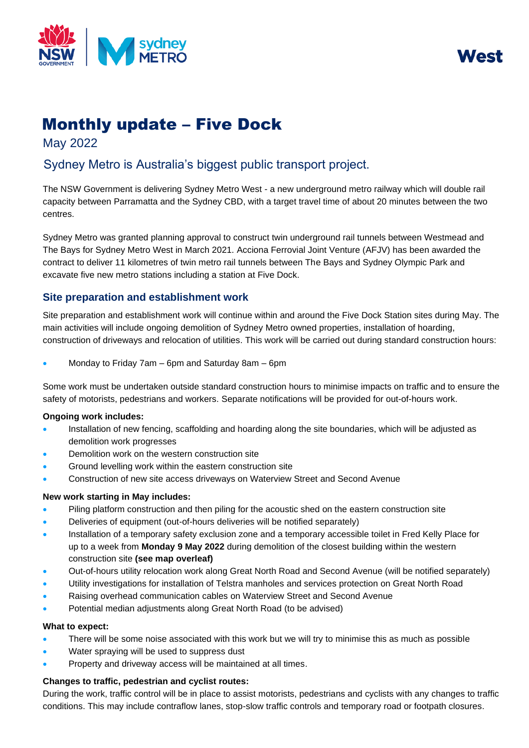

MASI

# Monthly update – Five Dock

May 2022

# Sydney Metro is Australia's biggest public transport project.

The NSW Government is delivering Sydney Metro West - a new underground metro railway which will double rail capacity between Parramatta and the Sydney CBD, with a target travel time of about 20 minutes between the two centres.

Sydney Metro was granted planning approval to construct twin underground rail tunnels between Westmead and The Bays for Sydney Metro West in March 2021. Acciona Ferrovial Joint Venture (AFJV) has been awarded the contract to deliver 11 kilometres of twin metro rail tunnels between The Bays and Sydney Olympic Park and excavate five new metro stations including a station at Five Dock.

## **Site preparation and establishment work**

Site preparation and establishment work will continue within and around the Five Dock Station sites during May. The main activities will include ongoing demolition of Sydney Metro owned properties, installation of hoarding, construction of driveways and relocation of utilities. This work will be carried out during standard construction hours:

• Monday to Friday 7am – 6pm and Saturday 8am – 6pm

Some work must be undertaken outside standard construction hours to minimise impacts on traffic and to ensure the safety of motorists, pedestrians and workers. Separate notifications will be provided for out-of-hours work.

#### **Ongoing work includes:**

- Installation of new fencing, scaffolding and hoarding along the site boundaries, which will be adjusted as demolition work progresses
- Demolition work on the western construction site
- Ground levelling work within the eastern construction site
- Construction of new site access driveways on Waterview Street and Second Avenue

#### **New work starting in May includes:**

- Piling platform construction and then piling for the acoustic shed on the eastern construction site
- Deliveries of equipment (out-of-hours deliveries will be notified separately)
- Installation of a temporary safety exclusion zone and a temporary accessible toilet in Fred Kelly Place for up to a week from **Monday 9 May 2022** during demolition of the closest building within the western construction site **(see map overleaf)**
- Out-of-hours utility relocation work along Great North Road and Second Avenue (will be notified separately)
- Utility investigations for installation of Telstra manholes and services protection on Great North Road
- Raising overhead communication cables on Waterview Street and Second Avenue
- Potential median adjustments along Great North Road (to be advised)

#### **What to expect:**

- There will be some noise associated with this work but we will try to minimise this as much as possible
- Water spraying will be used to suppress dust
- Property and driveway access will be maintained at all times.

### **Changes to traffic, pedestrian and cyclist routes:**

During the work, traffic control will be in place to assist motorists, pedestrians and cyclists with any changes to traffic conditions. This may include contraflow lanes, stop-slow traffic controls and temporary road or footpath closures.